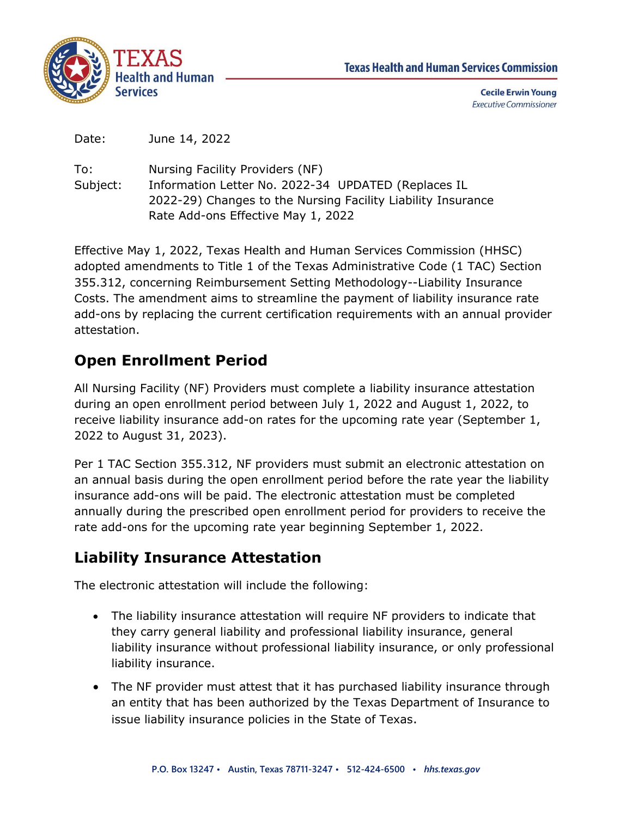

**Cecile Erwin Young Executive Commissioner** 

Date: June 14, 2022

To: Subject: Nursing Facility Providers (NF) Information Letter No. 2022-34 UPDATED (Replaces IL 2022-29) Changes to the Nursing Facility Liability Insurance Rate Add-ons Effective May 1, 2022

Effective May 1, 2022, Texas Health and Human Services Commission (HHSC) adopted amendments to Title 1 of the Texas Administrative Code (1 TAC) Section 355.312, concerning Reimbursement Setting Methodology--Liability Insurance Costs. The amendment aims to streamline the payment of liability insurance rate add-ons by replacing the current certification requirements with an annual provider attestation.

## **Open Enrollment Period**

All Nursing Facility (NF) Providers must complete a liability insurance attestation during an open enrollment period between July 1, 2022 and August 1, 2022, to receive liability insurance add-on rates for the upcoming rate year (September 1, 2022 to August 31, 2023).

Per 1 TAC Section 355.312, NF providers must submit an electronic attestation on an annual basis during the open enrollment period before the rate year the liability insurance add-ons will be paid. The electronic attestation must be completed annually during the prescribed open enrollment period for providers to receive the rate add-ons for the upcoming rate year beginning September 1, 2022.

## **Liability Insurance Attestation**

The electronic attestation will include the following:

- The liability insurance attestation will require NF providers to indicate that they carry general liability and professional liability insurance, general liability insurance without professional liability insurance, or only professional liability insurance.
- The NF provider must attest that it has purchased liability insurance through an entity that has been authorized by the Texas Department of Insurance to issue liability insurance policies in the State of Texas.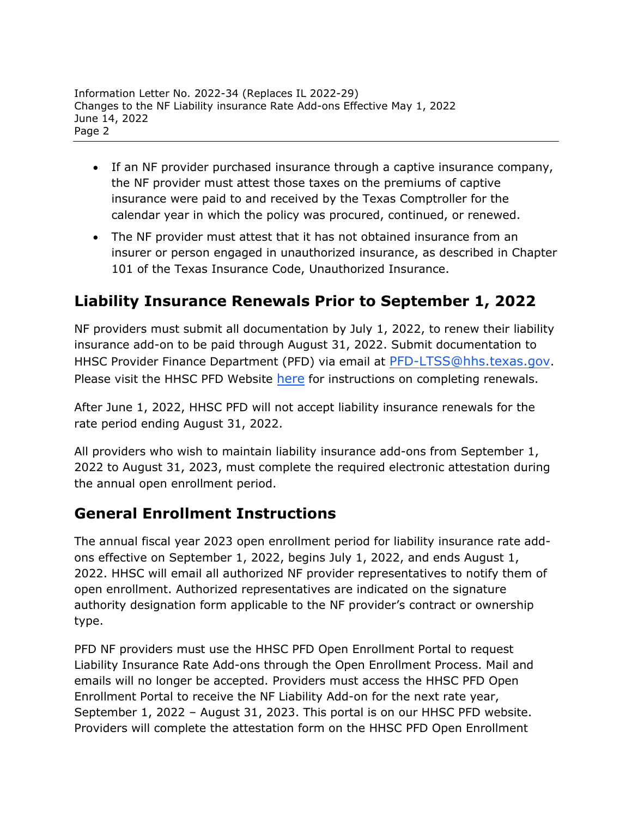- If an NF provider purchased insurance through a captive insurance company, the NF provider must attest those taxes on the premiums of captive insurance were paid to and received by the Texas Comptroller for the calendar year in which the policy was procured, continued, or renewed.
- The NF provider must attest that it has not obtained insurance from an insurer or person engaged in unauthorized insurance, as described in Chapter 101 of the Texas Insurance Code, Unauthorized Insurance.

## **Liability Insurance Renewals Prior to September 1, 2022**

NF providers must submit all documentation by July 1, 2022, to renew their liability insurance add-on to be paid through August 31, 2022. Submit documentation to HHSC Provider Finance Department (PFD) via email at PFD-LTSS@hhs.[texas.gov](mailto:PFD-LTSS@hhs.texas.gov). [Please visit the HHSC P](mailto:PFD-LTSS@hhs.texas.gov)FD Website [here](https://pfd.hhs.texas.gov/long-term-services-supports/nursing-facility-nf) for instructions on completing renewals.

After June 1, 2022, HHSC PFD will not accept liability insurance renewals for the rate period ending August 31, 2022.

All providers who wish to maintain liability insurance add-ons from September 1, 2022 to August 31, 2023, must complete the required electronic attestation during the annual open enrollment period.

## **General Enrollment Instructions**

The annual fiscal year 2023 open enrollment period for liability insurance rate addons effective on September 1, 2022, begins July 1, 2022, and ends August 1, 2022. HHSC will email all authorized NF provider representatives to notify them of open enrollment. Authorized representatives are indicated on the signature authority designation form applicable to the NF provider's contract or ownership type.

PFD NF providers must use the HHSC PFD Open Enrollment Portal to request Liability Insurance Rate Add-ons through the Open Enrollment Process. Mail and emails will no longer be accepted. Providers must access the HHSC PFD Open Enrollment Portal to receive the NF Liability Add-on for the next rate year, September 1, 2022 – August 31, 2023. This portal is on our HHSC PFD website. Providers will complete the attestation form on the HHSC PFD Open Enrollment